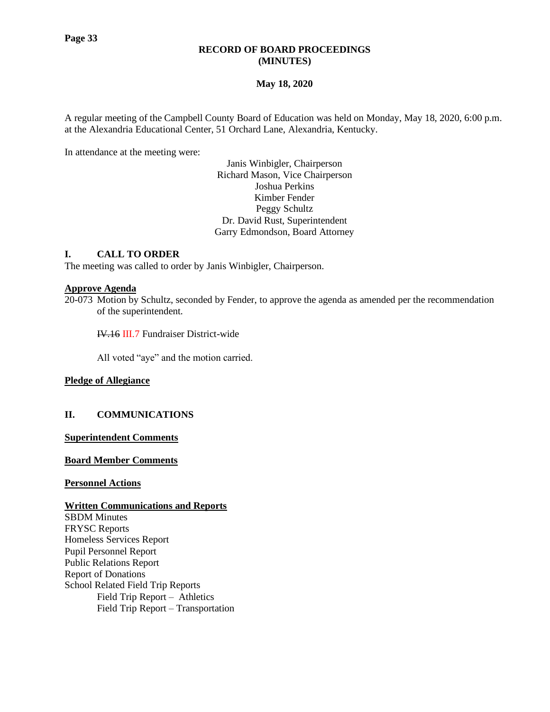# **RECORD OF BOARD PROCEEDINGS (MINUTES)**

# **May 18, 2020**

A regular meeting of the Campbell County Board of Education was held on Monday, May 18, 2020, 6:00 p.m. at the Alexandria Educational Center, 51 Orchard Lane, Alexandria, Kentucky.

In attendance at the meeting were:

Janis Winbigler, Chairperson Richard Mason, Vice Chairperson Joshua Perkins Kimber Fender Peggy Schultz Dr. David Rust, Superintendent Garry Edmondson, Board Attorney

# **I. CALL TO ORDER**

The meeting was called to order by Janis Winbigler, Chairperson.

### **Approve Agenda**

20-073 Motion by Schultz, seconded by Fender, to approve the agenda as amended per the recommendation of the superintendent.

IV.16 III.7 Fundraiser District-wide

All voted "aye" and the motion carried.

# **Pledge of Allegiance**

# **II. COMMUNICATIONS**

**Superintendent Comments**

### **Board Member Comments**

#### **Personnel Actions**

#### **Written Communications and Reports**

SBDM Minutes FRYSC Reports Homeless Services Report Pupil Personnel Report Public Relations Report Report of Donations School Related Field Trip Reports Field Trip Report – Athletics Field Trip Report – Transportation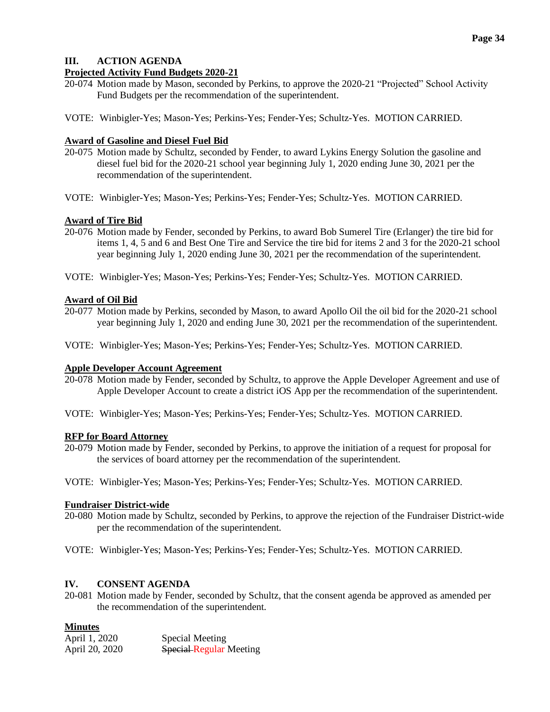# **III. ACTION AGENDA**

# **Projected Activity Fund Budgets 2020-21**

- 20-074 Motion made by Mason, seconded by Perkins, to approve the 2020-21 "Projected" School Activity Fund Budgets per the recommendation of the superintendent.
- VOTE: Winbigler-Yes; Mason-Yes; Perkins-Yes; Fender-Yes; Schultz-Yes. MOTION CARRIED.

# **Award of Gasoline and Diesel Fuel Bid**

- 20-075 Motion made by Schultz, seconded by Fender, to award Lykins Energy Solution the gasoline and diesel fuel bid for the 2020-21 school year beginning July 1, 2020 ending June 30, 2021 per the recommendation of the superintendent.
- VOTE: Winbigler-Yes; Mason-Yes; Perkins-Yes; Fender-Yes; Schultz-Yes. MOTION CARRIED.

# **Award of Tire Bid**

- 20-076 Motion made by Fender, seconded by Perkins, to award Bob Sumerel Tire (Erlanger) the tire bid for items 1, 4, 5 and 6 and Best One Tire and Service the tire bid for items 2 and 3 for the 2020-21 school year beginning July 1, 2020 ending June 30, 2021 per the recommendation of the superintendent.
- VOTE: Winbigler-Yes; Mason-Yes; Perkins-Yes; Fender-Yes; Schultz-Yes. MOTION CARRIED.

# **Award of Oil Bid**

- 20-077 Motion made by Perkins, seconded by Mason, to award Apollo Oil the oil bid for the 2020-21 school year beginning July 1, 2020 and ending June 30, 2021 per the recommendation of the superintendent.
- VOTE: Winbigler-Yes; Mason-Yes; Perkins-Yes; Fender-Yes; Schultz-Yes. MOTION CARRIED.

# **Apple Developer Account Agreement**

- 20-078 Motion made by Fender, seconded by Schultz, to approve the Apple Developer Agreement and use of Apple Developer Account to create a district iOS App per the recommendation of the superintendent.
- VOTE: Winbigler-Yes; Mason-Yes; Perkins-Yes; Fender-Yes; Schultz-Yes. MOTION CARRIED.

# **RFP for Board Attorney**

- 20-079 Motion made by Fender, seconded by Perkins, to approve the initiation of a request for proposal for the services of board attorney per the recommendation of the superintendent.
- VOTE: Winbigler-Yes; Mason-Yes; Perkins-Yes; Fender-Yes; Schultz-Yes. MOTION CARRIED.

# **Fundraiser District-wide**

- 20-080 Motion made by Schultz, seconded by Perkins, to approve the rejection of the Fundraiser District-wide per the recommendation of the superintendent.
- VOTE: Winbigler-Yes; Mason-Yes; Perkins-Yes; Fender-Yes; Schultz-Yes. MOTION CARRIED.

# **IV. CONSENT AGENDA**

20-081 Motion made by Fender, seconded by Schultz, that the consent agenda be approved as amended per the recommendation of the superintendent.

# **Minutes**

| April 1, 2020  | Special Meeting                |
|----------------|--------------------------------|
| April 20, 2020 | <b>Special Regular Meeting</b> |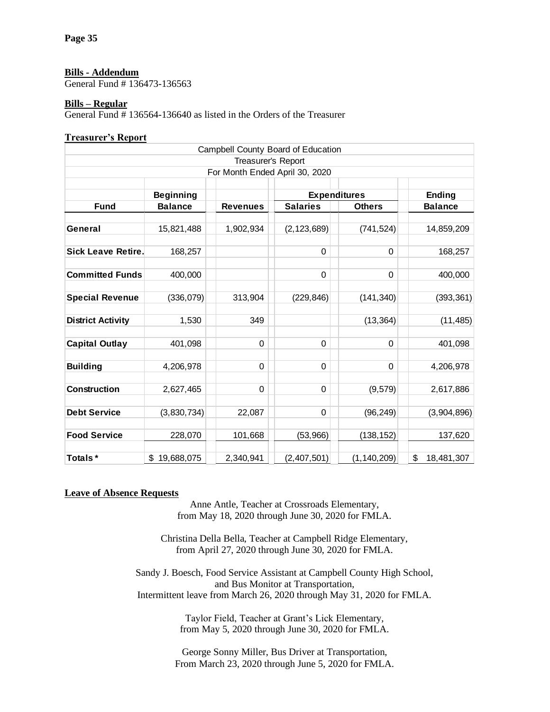### **Bills - Addendum**

General Fund # 136473-136563

### **Bills – Regular**

General Fund # 136564-136640 as listed in the Orders of the Treasurer

### **Treasurer's Report**

| Campbell County Board of Education |                  |                                |                     |               |                  |  |
|------------------------------------|------------------|--------------------------------|---------------------|---------------|------------------|--|
| Treasurer's Report                 |                  |                                |                     |               |                  |  |
|                                    |                  | For Month Ended April 30, 2020 |                     |               |                  |  |
|                                    |                  |                                |                     |               |                  |  |
|                                    | <b>Beginning</b> |                                | <b>Expenditures</b> |               | <b>Ending</b>    |  |
| <b>Fund</b>                        | <b>Balance</b>   | <b>Revenues</b>                | <b>Salaries</b>     | <b>Others</b> | <b>Balance</b>   |  |
|                                    |                  |                                |                     |               |                  |  |
| General                            | 15,821,488       | 1,902,934                      | (2, 123, 689)       | (741, 524)    | 14,859,209       |  |
|                                    |                  |                                |                     |               |                  |  |
| <b>Sick Leave Retire.</b>          | 168,257          |                                | 0                   | $\Omega$      | 168,257          |  |
|                                    |                  |                                |                     |               |                  |  |
| <b>Committed Funds</b>             | 400,000          |                                | $\mathbf 0$         | 0             | 400,000          |  |
|                                    |                  |                                |                     |               |                  |  |
| <b>Special Revenue</b>             | (336, 079)       | 313,904                        | (229, 846)          | (141, 340)    | (393, 361)       |  |
|                                    |                  |                                |                     |               |                  |  |
| <b>District Activity</b>           | 1,530            | 349                            |                     | (13, 364)     | (11, 485)        |  |
|                                    |                  |                                |                     |               |                  |  |
| <b>Capital Outlay</b>              | 401,098          | 0                              | 0                   | $\Omega$      | 401,098          |  |
|                                    |                  |                                |                     |               |                  |  |
| <b>Building</b>                    | 4,206,978        | 0                              | $\mathbf 0$         | 0             | 4,206,978        |  |
|                                    |                  |                                |                     |               |                  |  |
| <b>Construction</b>                | 2,627,465        | 0                              | $\mathsf 0$         | (9, 579)      | 2,617,886        |  |
|                                    |                  |                                |                     |               |                  |  |
| <b>Debt Service</b>                | (3,830,734)      | 22,087                         | 0                   | (96, 249)     | (3,904,896)      |  |
|                                    |                  |                                |                     |               |                  |  |
| <b>Food Service</b>                | 228,070          | 101,668                        | (53,966)            | (138, 152)    | 137,620          |  |
|                                    |                  |                                |                     |               |                  |  |
| Totals*                            | \$<br>19,688,075 | 2,340,941                      | (2,407,501)         | (1, 140, 209) | \$<br>18,481,307 |  |

#### **Leave of Absence Requests**

Anne Antle, Teacher at Crossroads Elementary, from May 18, 2020 through June 30, 2020 for FMLA.

Christina Della Bella, Teacher at Campbell Ridge Elementary, from April 27, 2020 through June 30, 2020 for FMLA.

Sandy J. Boesch, Food Service Assistant at Campbell County High School, and Bus Monitor at Transportation, Intermittent leave from March 26, 2020 through May 31, 2020 for FMLA.

> Taylor Field, Teacher at Grant's Lick Elementary, from May 5, 2020 through June 30, 2020 for FMLA.

George Sonny Miller, Bus Driver at Transportation, From March 23, 2020 through June 5, 2020 for FMLA.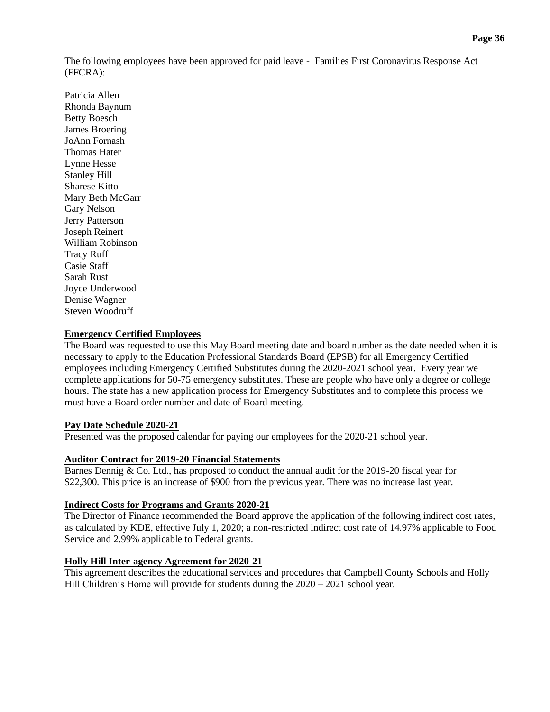The following employees have been approved for paid leave - Families First Coronavirus Response Act (FFCRA):

Patricia Allen Rhonda Baynum Betty Boesch James Broering JoAnn Fornash Thomas Hater Lynne Hesse Stanley Hill Sharese Kitto Mary Beth McGarr Gary Nelson Jerry Patterson Joseph Reinert William Robinson Tracy Ruff Casie Staff Sarah Rust Joyce Underwood Denise Wagner Steven Woodruff

# **Emergency Certified Employees**

The Board was requested to use this May Board meeting date and board number as the date needed when it is necessary to apply to the Education Professional Standards Board (EPSB) for all Emergency Certified employees including Emergency Certified Substitutes during the 2020-2021 school year. Every year we complete applications for 50-75 emergency substitutes. These are people who have only a degree or college hours. The state has a new application process for Emergency Substitutes and to complete this process we must have a Board order number and date of Board meeting.

# **Pay Date Schedule 2020-21**

Presented was the proposed calendar for paying our employees for the 2020-21 school year.

# **Auditor Contract for 2019-20 Financial Statements**

Barnes Dennig & Co. Ltd., has proposed to conduct the annual audit for the 2019-20 fiscal year for \$22,300. This price is an increase of \$900 from the previous year. There was no increase last year.

# **Indirect Costs for Programs and Grants 2020-21**

The Director of Finance recommended the Board approve the application of the following indirect cost rates, as calculated by KDE, effective July 1, 2020; a non-restricted indirect cost rate of 14.97% applicable to Food Service and 2.99% applicable to Federal grants.

# **Holly Hill Inter-agency Agreement for 2020-21**

This agreement describes the educational services and procedures that Campbell County Schools and Holly Hill Children's Home will provide for students during the 2020 – 2021 school year.